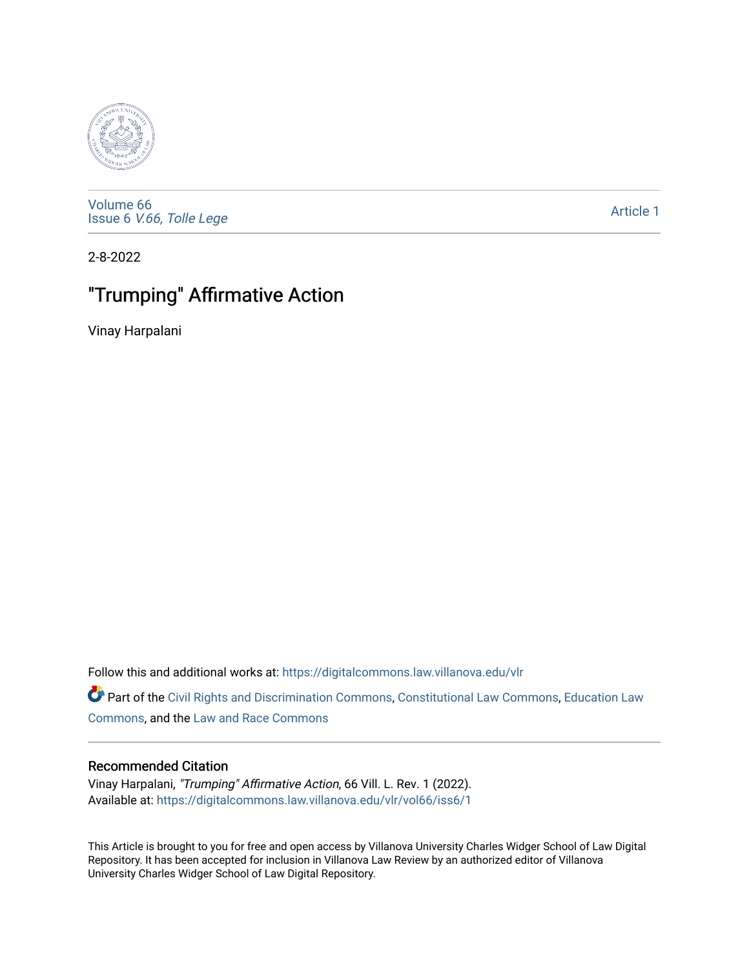

[Volume 66](https://digitalcommons.law.villanova.edu/vlr/vol66) Issue 6 [V.66, Tolle Lege](https://digitalcommons.law.villanova.edu/vlr/vol66/iss6) 

[Article 1](https://digitalcommons.law.villanova.edu/vlr/vol66/iss6/1) 

2-8-2022

# "Trumping" Affirmative Action

Vinay Harpalani

Follow this and additional works at: [https://digitalcommons.law.villanova.edu/vlr](https://digitalcommons.law.villanova.edu/vlr?utm_source=digitalcommons.law.villanova.edu%2Fvlr%2Fvol66%2Fiss6%2F1&utm_medium=PDF&utm_campaign=PDFCoverPages)

Part of the [Civil Rights and Discrimination Commons,](http://network.bepress.com/hgg/discipline/585?utm_source=digitalcommons.law.villanova.edu%2Fvlr%2Fvol66%2Fiss6%2F1&utm_medium=PDF&utm_campaign=PDFCoverPages) [Constitutional Law Commons,](http://network.bepress.com/hgg/discipline/589?utm_source=digitalcommons.law.villanova.edu%2Fvlr%2Fvol66%2Fiss6%2F1&utm_medium=PDF&utm_campaign=PDFCoverPages) [Education Law](http://network.bepress.com/hgg/discipline/596?utm_source=digitalcommons.law.villanova.edu%2Fvlr%2Fvol66%2Fiss6%2F1&utm_medium=PDF&utm_campaign=PDFCoverPages) [Commons](http://network.bepress.com/hgg/discipline/596?utm_source=digitalcommons.law.villanova.edu%2Fvlr%2Fvol66%2Fiss6%2F1&utm_medium=PDF&utm_campaign=PDFCoverPages), and the [Law and Race Commons](http://network.bepress.com/hgg/discipline/1300?utm_source=digitalcommons.law.villanova.edu%2Fvlr%2Fvol66%2Fiss6%2F1&utm_medium=PDF&utm_campaign=PDFCoverPages) 

## Recommended Citation

Vinay Harpalani, "Trumping" Affirmative Action, 66 Vill. L. Rev. 1 (2022). Available at: [https://digitalcommons.law.villanova.edu/vlr/vol66/iss6/1](https://digitalcommons.law.villanova.edu/vlr/vol66/iss6/1?utm_source=digitalcommons.law.villanova.edu%2Fvlr%2Fvol66%2Fiss6%2F1&utm_medium=PDF&utm_campaign=PDFCoverPages) 

This Article is brought to you for free and open access by Villanova University Charles Widger School of Law Digital Repository. It has been accepted for inclusion in Villanova Law Review by an authorized editor of Villanova University Charles Widger School of Law Digital Repository.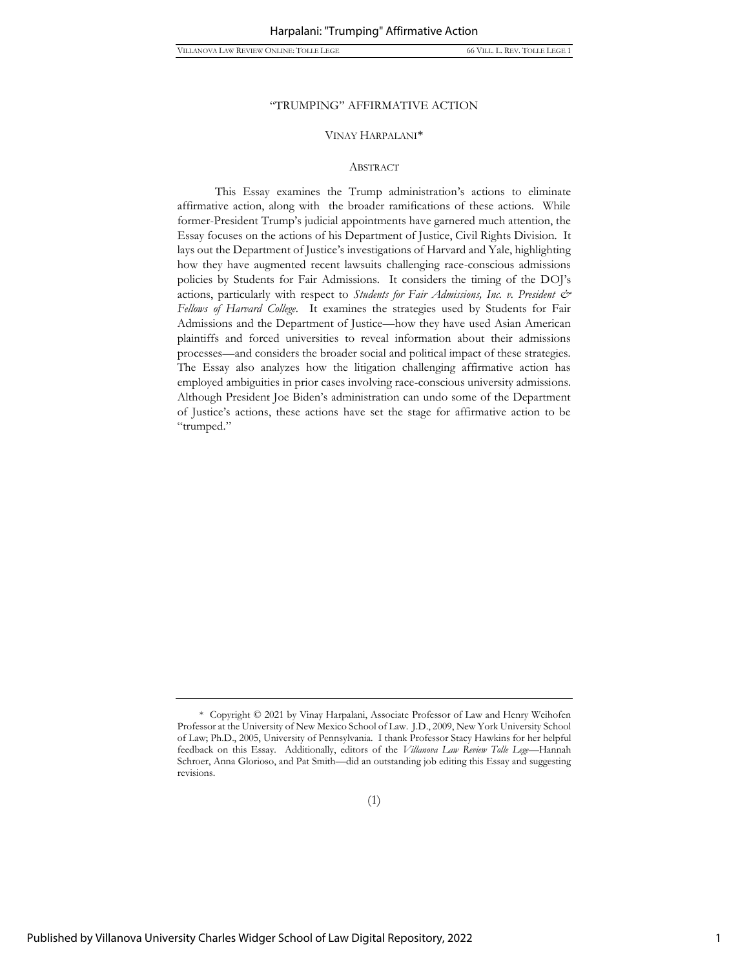#### VINAY HARPALANI\*

#### ABSTRACT

This Essay examines the Trump administration's actions to eliminate affirmative action, along with the broader ramifications of these actions. While former-President Trump's judicial appointments have garnered much attention, the Essay focuses on the actions of his Department of Justice, Civil Rights Division. It lays out the Department of Justice's investigations of Harvard and Yale, highlighting how they have augmented recent lawsuits challenging race-conscious admissions policies by Students for Fair Admissions. It considers the timing of the DOJ's actions, particularly with respect to *Students for Fair Admissions, Inc. v. President & Fellows of Harvard College*. It examines the strategies used by Students for Fair Admissions and the Department of Justice—how they have used Asian American plaintiffs and forced universities to reveal information about their admissions processes—and considers the broader social and political impact of these strategies. The Essay also analyzes how the litigation challenging affirmative action has employed ambiguities in prior cases involving race-conscious university admissions. Although President Joe Biden's administration can undo some of the Department of Justice's actions, these actions have set the stage for affirmative action to be "trumped."

<sup>\*</sup> Copyright © 2021 by Vinay Harpalani, Associate Professor of Law and Henry Weihofen Professor at the University of New Mexico School of Law. J.D., 2009, New York University School of Law; Ph.D., 2005, University of Pennsylvania. I thank Professor Stacy Hawkins for her helpful feedback on this Essay. Additionally, editors of the *Villanova Law Review Tolle Lege*—Hannah Schroer, Anna Glorioso, and Pat Smith—did an outstanding job editing this Essay and suggesting revisions.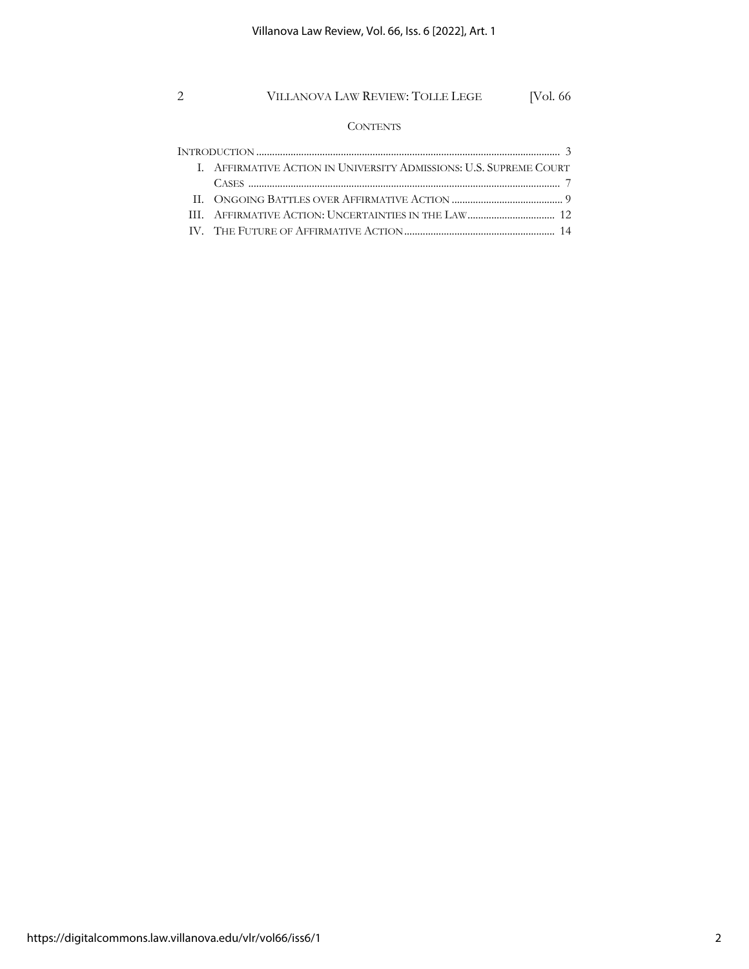### **CONTENTS**

| I. AFFIRMATIVE ACTION IN UNIVERSITY ADMISSIONS: U.S. SUPREME COURT |
|--------------------------------------------------------------------|
|                                                                    |
|                                                                    |
|                                                                    |
|                                                                    |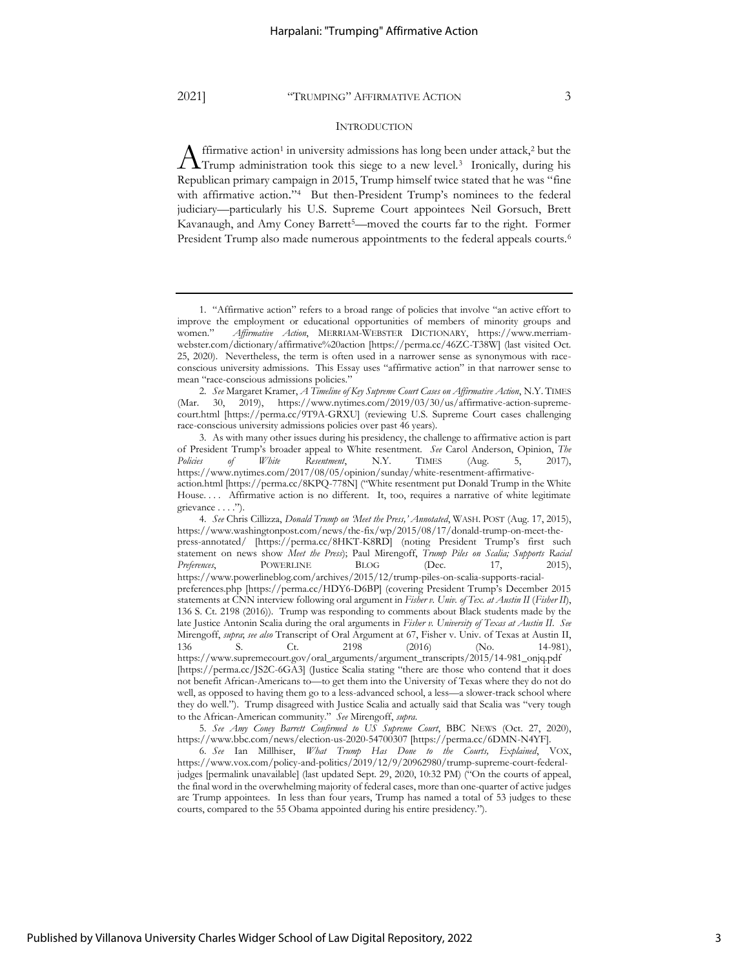#### **INTRODUCTION**

ffirmative action<sup>1</sup> in university admissions has long been under attack,<sup>2</sup> but the  $\Lambda$  ffirmative action<sup>1</sup> in university admissions has long been under attack,<sup>2</sup> but the Trump administration took this siege to a new level.<sup>3</sup> Ironically, during his Republican primary campaign in 2015, Trump himself twice stated that he was "[fine](https://www.powerlineblog.com/archives/2015/12/trump-piles-on-scalia-supports-racial-preferences.php)  [with affirmative action](https://www.powerlineblog.com/archives/2015/12/trump-piles-on-scalia-supports-racial-preferences.php)." 4 But then-President Trump's nominees to the federal judiciary—particularly his U.S. Supreme Court appointees Neil Gorsuch, Brett Kavanaugh, and Amy Coney Barrett5—moved the courts far to the right. Former President Trump also made numerous appointments to the federal appeals courts.<sup>6</sup>

3. As with many other issues during his presidency, the challenge to affirmative action is part of President Trump's broader appeal to White resentment. *See* Carol Anderson, Opinion, *The Policies of White Resentment*, N.Y. TIMES (Aug. 5, 2017), https://www.nytimes.com/2017/08/05/opinion/sunday/white-resentment-affirmative-

5. *See Amy Coney Barrett Confirmed to US Supreme Court*, BBC NEWS (Oct. 27, 2020), https://www.bbc.com/news/election-us-2020-54700307 [https://perma.cc/6DMN-N4YF].

6. *See* Ian Millhiser, *What Trump Has Done to the Courts, Explained*, VOX, https://www.vox.com/policy-and-politics/2019/12/9/20962980/trump-supreme-court-federaljudges [permalink unavailable] (last updated Sept. 29, 2020, 10:32 PM) ("On the courts of appeal, the final word in the overwhelming majority of federal cases, more than one-quarter of active judges are Trump appointees. In less than four years, Trump has named a total of 53 judges to these courts, compared to the 55 Obama appointed during his entire presidency.").

<sup>1.</sup> "Affirmative action" refers to a broad range of policies that involve "an active effort to improve the employment or educational opportunities of members of minority groups and women." *Affirmative Action*, MERRIAM-WEBSTER DICTIONARY, https://www.merriamwebster.com/dictionary/affirmative%20action [https://perma.cc/46ZC-T38W] (last visited Oct. 25, 2020). Nevertheless, the term is often used in a narrower sense as synonymous with raceconscious university admissions. This Essay uses "affirmative action" in that narrower sense to mean "race-conscious admissions policies."

<sup>2.</sup> *See* Margaret Kramer, *A Timeline of Key Supreme Court Cases on Affirmative Action*, N.Y. TIMES (Mar. 30, 2019), https://www.nytimes.com/2019/03/30/us/affirmative-action-supremecourt.html [https://perma.cc/9T9A-GRXU] (reviewing U.S. Supreme Court cases challenging race-conscious university admissions policies over past 46 years).

action.html [https://perma.cc/8KPQ-778N] ("White resentment put Donald Trump in the White House.... Affirmative action is no different. It, too, requires a narrative of white legitimate grievance . . . .").

<sup>4.</sup> *See* Chris Cillizza, *Donald Trump on 'Meet the Press,' Annotated*, WASH. POST (Aug. 17, 2015), https://www.washingtonpost.com/news/the-fix/wp/2015/08/17/donald-trump-on-meet-thepress-annotated/ [https://perma.cc/8HKT-K8RD] (noting President Trump's first such statement on news show *Meet the Press*); Paul Mirengoff, *Trump Piles on Scalia; Supports Racial*  Preferences, POWERLINE BLOG (Dec. 17, 2015), https://www.powerlineblog.com/archives/2015/12/trump-piles-on-scalia-supports-racialpreferences.php [https://perma.cc/HDY6-D6BP] (covering President Trump's December 2015 statements at CNN interview following oral argument in *Fisher v. Univ. of Tex. at Austin II* (*Fisher II*), 136 S. Ct. 2198 (2016)). Trump was responding to comments about Black students made by the late Justice Antonin Scalia during the oral arguments in *Fisher v. University of Texas at Austin II*. *See* Mirengoff, *supra*; *see also* Transcript of Oral Argument at 67, Fisher v. Univ. of Texas at Austin II, 136 S. Ct. 2198 (2016) (No. 14-981), 136 S. Ct. 2198 (2016) (No. 14-981), https://www.supremecourt.gov/oral\_arguments/argument\_transcripts/2015/14-981\_onjq.pdf [https://perma.cc/JS2C-6GA3] (Justice Scalia stating "there are those who contend that it does not benefit African-Americans to—to get them into the University of Texas where they do not do well, as opposed to having them go to a less-advanced school, a less—a slower-track school where they do well."). Trump disagreed with Justice Scalia and actually said that Scalia was "very tough to the African-American community." *See* Mirengoff, *supra*.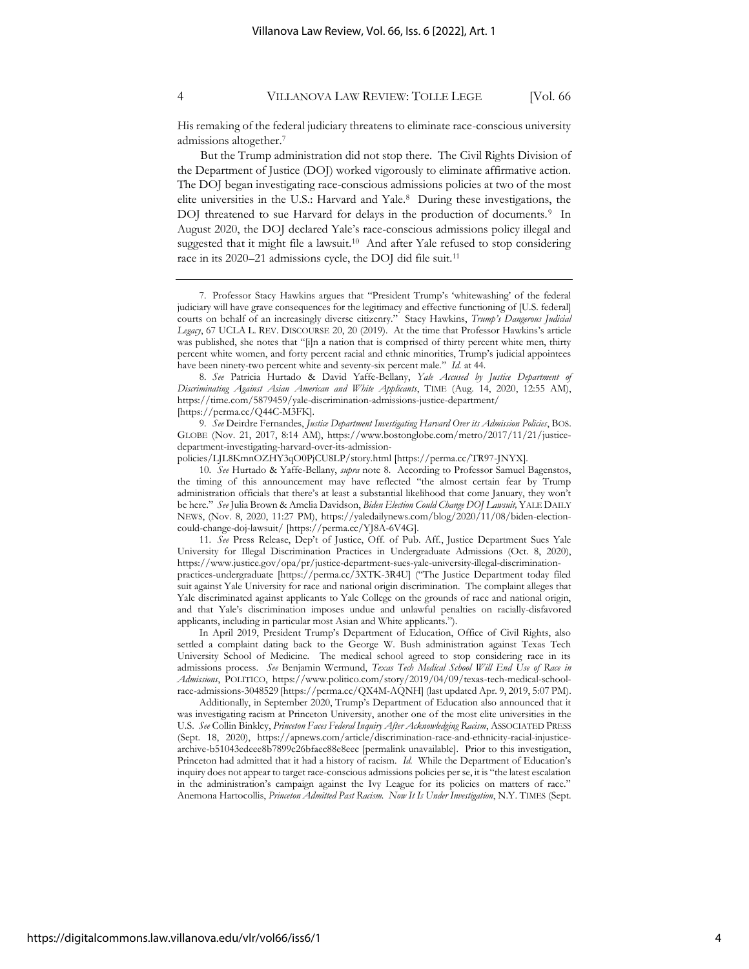His remaking of the federal judiciary threatens to eliminate race-conscious university admissions altogether.<sup>7</sup>

<span id="page-4-1"></span><span id="page-4-0"></span>But the Trump administration did not stop there. The Civil Rights Division of the Department of Justice (DOJ) worked vigorously to eliminate affirmative action. The DOJ began investigating race-conscious admissions policies at two of the most elite universities in the U.S.: Harvard and Yale.<sup>8</sup> During these investigations, the DOJ threatened to sue Harvard for delays in the production of documents.<sup>9</sup> In August 2020, the DOJ declared Yale's race-conscious admissions policy illegal and suggested that it might file a lawsuit.<sup>10</sup> And after Yale refused to stop considering race in its 2020–21 admissions cycle, the DOJ did file suit.<sup>11</sup>

8. *See* Patricia Hurtado & David Yaffe-Bellany, *Yale Accused by Justice Department of Discriminating Against Asian American and White Applicants*, TIME (Aug. 14, 2020, 12:55 AM), https://time.com/5879459/yale-discrimination-admissions-justice-department/ [https://perma.cc/Q44C-M3FK].

9. *See* Deirdre Fernandes, *Justice Department Investigating Harvard Over its Admission Policies*, BOS. GLOBE (Nov. 21, 2017, 8:14 AM), https://www.bostonglobe.com/metro/2017/11/21/justicedepartment-investigating-harvard-over-its-admission-

policies/LJL8KmnOZHY3qO0PjCU8LP/story.html [https://perma.cc/TR97-JNYX].

10. *See* Hurtado & Yaffe-Bellany, *supra* not[e 8.](#page-4-0) According to Professor Samuel Bagenstos, the timing of this announcement may have reflected "the almost certain fear by Trump administration officials that there's at least a substantial likelihood that come January, they won't be here." *See* Julia Brown & Amelia Davidson, *Biden Election Could Change DOJ Lawsuit,* YALE DAILY NEWS, (Nov. 8, 2020, 11:27 PM), https://yaledailynews.com/blog/2020/11/08/biden-electioncould-change-doj-lawsuit/ [https://perma.cc/YJ8A-6V4G].

11. *See* Press Release, Dep't of Justice, Off. of Pub. Aff., Justice Department Sues Yale University for Illegal Discrimination Practices in Undergraduate Admissions (Oct. 8, 2020), https://www.justice.gov/opa/pr/justice-department-sues-yale-university-illegal-discriminationpractices-undergraduate [https://perma.cc/3XTK-3R4U] ("The Justice Department today filed suit against Yale University for race and national origin discrimination. The complaint alleges that Yale discriminated against applicants to Yale College on the grounds of race and national origin, and that Yale's discrimination imposes undue and unlawful penalties on racially-disfavored applicants, including in particular most Asian and White applicants.").

In April 2019, President Trump's Department of Education, Office of Civil Rights, also settled a complaint dating back to the George W. Bush administration against Texas Tech University School of Medicine. The medical school agreed to stop considering race in its admissions process. *See* Benjamin Wermund, *Texas Tech Medical School Will End Use of Race in Admissions*, POLITICO, https://www.politico.com/story/2019/04/09/texas-tech-medical-schoolrace-admissions-3048529 [https://perma.cc/QX4M-AQNH] (last updated Apr. 9, 2019, 5:07 PM).

Additionally, in September 2020, Trump's Department of Education also announced that it was investigating racism at Princeton University, another one of the most elite universities in the U.S. *See* Collin Binkley, *Princeton Faces Federal Inquiry After Acknowledging Racism*, ASSOCIATED PRESS (Sept. 18, 2020), https://apnews.com/article/discrimination-race-and-ethnicity-racial-injusticearchive-b51043edeee8b7899c26bfaec88e8eec [permalink unavailable]. Prior to this investigation, Princeton had admitted that it had a history of racism. *Id.* While the Department of Education's inquiry does not appear to target race-conscious admissions policies per se, it is "the latest escalation in the administration's campaign against the Ivy League for its policies on matters of race." Anemona Hartocollis, *Princeton Admitted Past Racism. Now It Is Under Investigation*, N.Y. TIMES (Sept.

<span id="page-4-2"></span><sup>7.</sup> Professor Stacy Hawkins argues that "President Trump's 'whitewashing' of the federal judiciary will have grave consequences for the legitimacy and effective functioning of [U.S. federal] courts on behalf of an increasingly diverse citizenry." Stacy Hawkins, *Trump's Dangerous Judicial Legacy*, 67 UCLA L. REV. DISCOURSE 20, 20 (2019). At the time that Professor Hawkins's article was published, she notes that "[i]n a nation that is comprised of thirty percent white men, thirty percent white women, and forty percent racial and ethnic minorities, Trump's judicial appointees have been ninety-two percent white and seventy-six percent male." *Id.* at 44.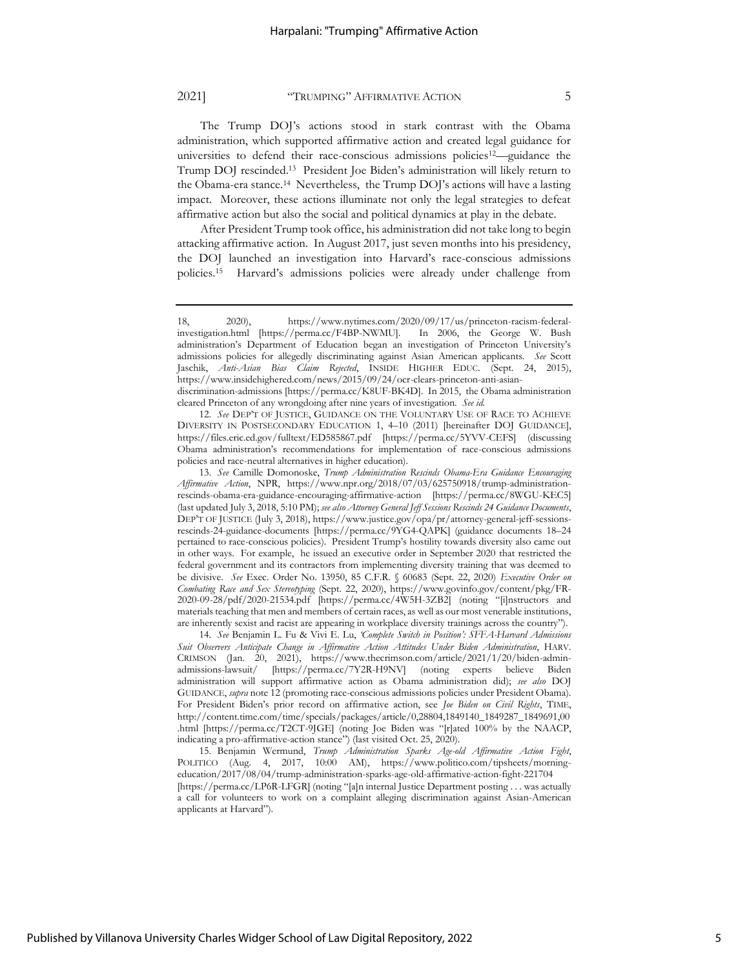The Trump DOJ's actions stood in stark contrast with the Obama administration, which supported affirmative action and created legal guidance for universities to defend their race-conscious admissions policies<sup>12</sup>—guidance the Trump DOJ rescinded.<sup>13</sup> President Joe Biden's administration will likely return to the Obama-era stance.<sup>14</sup> Nevertheless, the Trump DOJ's actions will have a lasting impact. Moreover, these actions illuminate not only the legal strategies to defeat affirmative action but also the social and political dynamics at play in the debate.

<span id="page-5-1"></span><span id="page-5-0"></span>After President Trump took office, his administration did not take long to begin attacking affirmative action. In August 2017, just seven months into his presidency, the DOJ launched an investigation into Harvard's race-conscious admissions policies.<sup>15</sup> Harvard's admissions policies were already under challenge from

<sup>18, 2020),</sup> https://www.nytimes.com/2020/09/17/us/princeton-racism-federalinvestigation.html [https://perma.cc/F4BP-NWMU]. In 2006, the George W. Bush administration's Department of Education began an investigation of Princeton University's admissions policies for allegedly discriminating against Asian American applicants. *See* Scott Jaschik, *Anti-Asian Bias Claim Rejected*, INSIDE HIGHER EDUC. (Sept. 24, 2015), https://www.insidehighered.com/news/2015/09/24/ocr-clears-princeton-anti-asiandiscrimination-admissions [https://perma.cc/K8UF-BK4D]. In 2015, the Obama administration cleared Princeton of any wrongdoing after nine years of investigation. *See id.*

<sup>12.</sup> *See* DEP'T OF JUSTICE, GUIDANCE ON THE VOLUNTARY USE OF RACE TO ACHIEVE DIVERSITY IN POSTSECONDARY EDUCATION 1, 4–10 (2011) [hereinafter DOJ GUIDANCE], https://files.eric.ed.gov/fulltext/ED585867.pdf [https://perma.cc/5YVV-CEFS] (discussing Obama administration's recommendations for implementation of race-conscious admissions policies and race-neutral alternatives in higher education).

<sup>13.</sup> *See* Camille Domonoske, *Trump Administration Rescinds Obama-Era Guidance Encouraging Affirmative Action*, NPR, https://www.npr.org/2018/07/03/625750918/trump-administrationrescinds-obama-era-guidance-encouraging-affirmative-action [https://perma.cc/8WGU-KEC5] (last updated July 3, 2018, 5:10 PM); *see also Attorney General Jeff Sessions Rescinds 24 Guidance Documents*, DEP'T OF JUSTICE (July 3, 2018), https://www.justice.gov/opa/pr/attorney-general-jeff-sessionsrescinds-24-guidance-documents [https://perma.cc/9YG4-QAPK] (guidance documents 18–24 pertained to race-conscious policies). President Trump's hostility towards diversity also came out in other ways. For example, he issued an executive order in September 2020 that restricted the federal government and its contractors from implementing diversity training that was deemed to be divisive. *See* Exec. Order No. 13950, 85 C.F.R. § 60683 (Sept. 22, 2020) *Executive Order on Combating Race and Sex Stereotyping* (Sept. 22, 2020), https://www.govinfo.gov/content/pkg/FR-2020-09-28/pdf/2020-21534.pdf [https://perma.cc/4W5H-3ZB2] (noting "[i]nstructors and materials teaching that men and members of certain races, as well as our most venerable institutions, are inherently sexist and racist are appearing in workplace diversity trainings across the country").

<sup>14.</sup> *See* Benjamin L. Fu & Vivi E. Lu, *'Complete Switch in Position': SFFA-Harvard Admissions Suit Observers Anticipate Change in Affirmative Action Attitudes Under Biden Administration*, HARV. CRIMSON (Jan. 20, 2021), https://www.thecrimson.com/article/2021/1/20/biden-adminadmissions-lawsuit/ [https://perma.cc/7Y2R-H9NV] (noting experts believe Biden administration will support affirmative action as Obama administration did); *see also* DOJ GUIDANCE, *supra* note 12 (promoting race-conscious admissions policies under President Obama). For President Biden's prior record on affirmative action, see *Joe Biden on Civil Rights*, TIME, http://content.time.com/time/specials/packages/article/0,28804,1849140\_1849287\_1849691,00 .html [https://perma.cc/T2CT-9JGE] (noting Joe Biden was "[r]ated 100% by the NAACP, indicating a pro-affirmative-action stance") (last visited Oct. 25, 2020).

<sup>15.</sup> Benjamin Wermund, *Trump Administration Sparks Age-old Affirmative Action Fight*, POLITICO (Aug. 4, 2017, 10:00 AM), https://www.politico.com/tipsheets/morningeducation/2017/08/04/trump-administration-sparks-age-old-affirmative-action-fight-221704 [https://perma.cc/LP6R-LFGR] (noting "[a]n internal Justice Department posting . . . was actually a call for volunteers to work on a complaint alleging discrimination against Asian-American applicants at Harvard").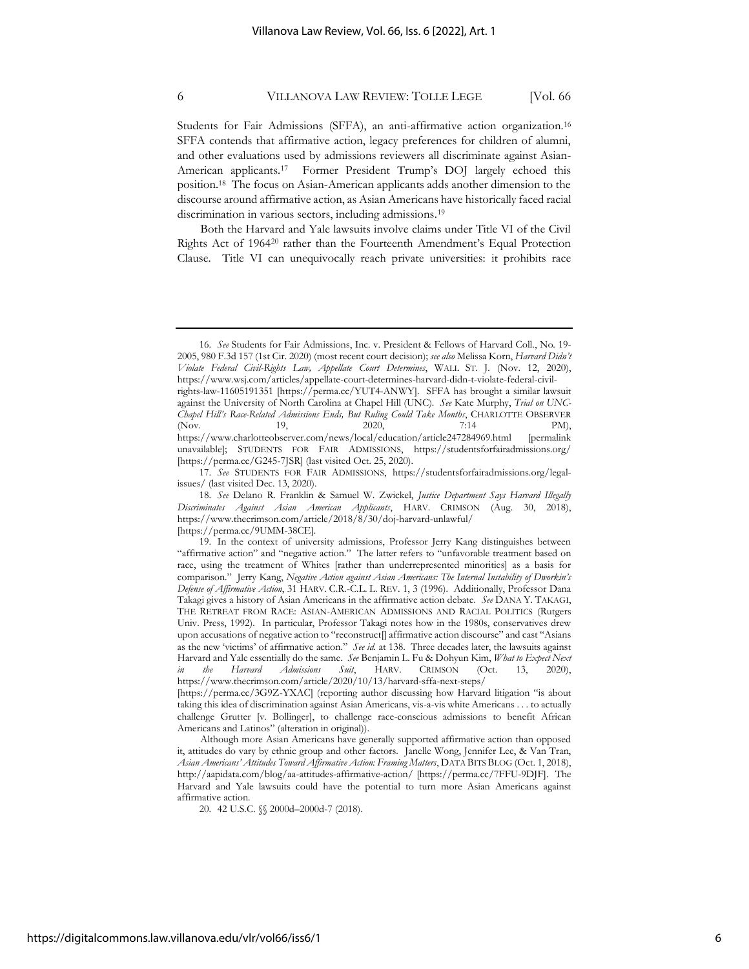<span id="page-6-0"></span>Students for Fair Admissions (SFFA), an anti-affirmative action organization.<sup>16</sup> SFFA contends that affirmative action, legacy preferences for children of alumni, and other evaluations used by admissions reviewers all discriminate against Asian-American applicants.<sup>17</sup> Former President Trump's DOJ largely echoed this position.<sup>18</sup> The focus on Asian-American applicants adds another dimension to the discourse around affirmative action, as Asian Americans have historically faced racial discrimination in various sectors, including admissions.<sup>19</sup>

<span id="page-6-1"></span>Both the Harvard and Yale lawsuits involve claims under Title VI of the Civil Rights Act of 1964<sup>20</sup> rather than the Fourteenth Amendment's Equal Protection Clause. Title VI can unequivocally reach private universities: it prohibits race

<sup>16.</sup> *See* Students for Fair Admissions, Inc. v. President & Fellows of Harvard Coll., No. 19- 2005, 980 F.3d 157 (1st Cir. 2020) (most recent court decision); *see also* Melissa Korn, *Harvard Didn't Violate Federal Civil-Rights Law, Appellate Court Determines*, WALL ST. J. (Nov. 12, 2020), https://www.wsj.com/articles/appellate-court-determines-harvard-didn-t-violate-federal-civilrights-law-11605191351 [https://perma.cc/YUT4-ANWY]. SFFA has brought a similar lawsuit against the University of North Carolina at Chapel Hill (UNC). *See* Kate Murphy, *Trial on UNC-Chapel Hill's Race-Related Admissions Ends, But Ruling Could Take Months*, CHARLOTTE OBSERVER (Nov. 19, 2020, 7:14 PM), https://www.charlotteobserver.com/news/local/education/article247284969.html [permalink unavailable]; STUDENTS FOR FAIR ADMISSIONS, https://studentsforfairadmissions.org/ [https://perma.cc/G245-7JSR] (last visited Oct. 25, 2020).

<sup>17.</sup> *See* STUDENTS FOR FAIR ADMISSIONS, https://studentsforfairadmissions.org/legalissues/ (last visited Dec. 13, 2020).

<sup>18.</sup> *See* Delano R. Franklin & Samuel W. Zwickel, *Justice Department Says Harvard Illegally Discriminates Against Asian American Applicants*, HARV. CRIMSON (Aug. 30, 2018), https://www.thecrimson.com/article/2018/8/30/doj-harvard-unlawful/

<sup>[</sup>https://perma.cc/9UMM-38CE].

<sup>19.</sup> In the context of university admissions, Professor Jerry Kang distinguishes between "affirmative action" and "negative action." The latter refers to "unfavorable treatment based on race, using the treatment of Whites [rather than underrepresented minorities] as a basis for comparison." Jerry Kang, *Negative Action against Asian Americans: The Internal Instability of Dworkin's Defense of Affirmative Action*, 31 HARV. C.R.-C.L. L. REV. 1, 3 (1996). Additionally, Professor Dana Takagi gives a history of Asian Americans in the affirmative action debate. *See* DANA Y. TAKAGI, THE RETREAT FROM RACE: ASIAN-AMERICAN ADMISSIONS AND RACIAL POLITICS (Rutgers Univ. Press, 1992). In particular, Professor Takagi notes how in the 1980s, conservatives drew upon accusations of negative action to "reconstruct[] affirmative action discourse" and cast "Asians as the new 'victims' of affirmative action." *See id.* at 138. Three decades later, the lawsuits against Harvard and Yale essentially do the same. *See* Benjamin L. Fu & Dohyun Kim, *What to Expect Next in the Harvard Admissions Suit*, HARV. CRIMSON (Oct. 13, 2020), https://www.thecrimson.com/article/2020/10/13/harvard-sffa-next-steps/

<sup>[</sup>https://perma.cc/3G9Z-YXAC] (reporting author discussing how Harvard litigation "is about taking this idea of discrimination against Asian Americans, vis-a-vis white Americans . . . to actually challenge Grutter [v. Bollinger], to challenge race-conscious admissions to benefit African Americans and Latinos" (alteration in original)).

Although more Asian Americans have generally supported affirmative action than opposed it, attitudes do vary by ethnic group and other factors. Janelle Wong, Jennifer Lee, & Van Tran, *Asian Americans' Attitudes Toward Affirmative Action: Framing Matters*, DATA BITS BLOG (Oct. 1, 2018), http://aapidata.com/blog/aa-attitudes-affirmative-action/ [https://perma.cc/7FFU-9DJF]. The Harvard and Yale lawsuits could have the potential to turn more Asian Americans against affirmative action.

<sup>20.</sup> 42 U.S.C. §§ 2000d–2000d-7 (2018).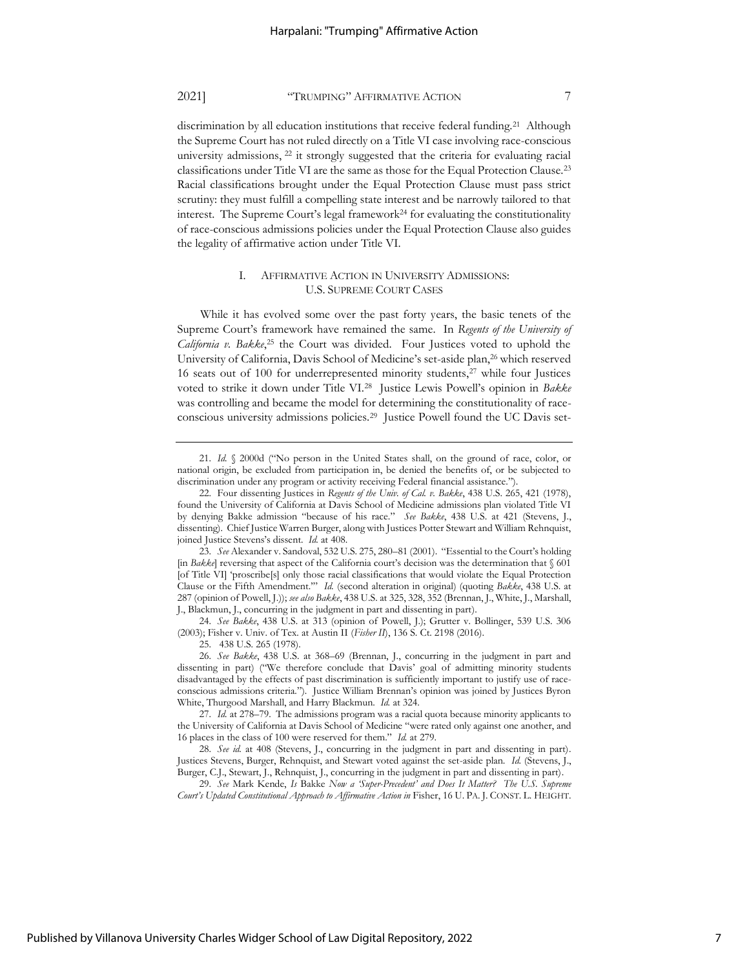discrimination by all education institutions that receive federal funding.<sup>21</sup> Although the Supreme Court has not ruled directly on a Title VI case involving race-conscious university admissions, <sup>22</sup> it strongly suggested that the criteria for evaluating racial classifications under Title VI are the same as those for the Equal Protection Clause.<sup>23</sup> Racial classifications brought under the Equal Protection Clause must pass strict scrutiny: they must fulfill a compelling state interest and be narrowly tailored to that interest. The Supreme Court's legal framework<sup>24</sup> for evaluating the constitutionality of race-conscious admissions policies under the Equal Protection Clause also guides the legality of affirmative action under Title VI.

#### I. AFFIRMATIVE ACTION IN UNIVERSITY ADMISSIONS: U.S. SUPREME COURT CASES

While it has evolved some over the past forty years, the basic tenets of the Supreme Court's framework have remained the same. In *Regents of the University of*  California v. Bakke,<sup>25</sup> the Court was divided. Four Justices voted to uphold the University of California, Davis School of Medicine's set-aside plan,<sup>26</sup> which reserved 16 seats out of 100 for underrepresented minority students, $27$  while four Justices voted to strike it down under Title VI.<sup>28</sup> Justice Lewis Powell's opinion in *Bakke* was controlling and became the model for determining the constitutionality of raceconscious university admissions policies.<sup>29</sup> Justice Powell found the UC Davis set-

24. *See Bakke*, 438 U.S. at 313 (opinion of Powell, J.); Grutter v. Bollinger, 539 U.S. 306 (2003); Fisher v. Univ. of Tex. at Austin II (*Fisher II*), 136 S. Ct. 2198 (2016).

<sup>21.</sup> *Id.* § 2000d ("No person in the United States shall, on the ground of race, color, or national origin, be excluded from participation in, be denied the benefits of, or be subjected to discrimination under any program or activity receiving Federal financial assistance.").

<sup>22.</sup> Four dissenting Justices in *Regents of the Univ. of Cal. v. Bakke*, 438 U.S. 265, 421 (1978), found the University of California at Davis School of Medicine admissions plan violated Title VI by denying Bakke admission "because of his race." *See Bakke*, 438 U.S. at 421 (Stevens, J., dissenting). Chief Justice Warren Burger, along with Justices Potter Stewart and William Rehnquist, joined Justice Stevens's dissent. *Id.* at 408.

<sup>23.</sup> *See* Alexander v. Sandoval, 532 U.S. 275, 280–81 (2001). "Essential to the Court's holding [in *Bakke*] reversing that aspect of the California court's decision was the determination that § 601 [of Title VI] 'proscribe[s] only those racial classifications that would violate the Equal Protection Clause or the Fifth Amendment.'" *Id.* (second alteration in original) (quoting *Bakke*, 438 U.S. at 287 (opinion of Powell, J.)); *see also Bakke*, 438 U.S. at 325, 328, 352 (Brennan, J., White, J., Marshall, J., Blackmun, J., concurring in the judgment in part and dissenting in part).

<sup>25. 438</sup> U.S. 265 (1978).

<sup>26.</sup> *See Bakke*, 438 U.S. at 368–69 (Brennan, J., concurring in the judgment in part and dissenting in part) ("We therefore conclude that Davis' goal of admitting minority students disadvantaged by the effects of past discrimination is sufficiently important to justify use of raceconscious admissions criteria."). Justice William Brennan's opinion was joined by Justices Byron White, Thurgood Marshall, and Harry Blackmun. *Id.* at 324.

<sup>27.</sup> *Id.* at 278–79. The admissions program was a racial quota because minority applicants to the University of California at Davis School of Medicine "were rated only against one another, and 16 places in the class of 100 were reserved for them." *Id.* at 279.

<sup>28.</sup> *See id.* at 408 (Stevens, J., concurring in the judgment in part and dissenting in part). Justices Stevens, Burger, Rehnquist, and Stewart voted against the set-aside plan. *Id.* (Stevens, J., Burger, C.J., Stewart, J., Rehnquist, J., concurring in the judgment in part and dissenting in part).

<sup>29.</sup> *See* Mark Kende, *Is* Bakke *Now a 'Super-Precedent' and Does It Matter? The U.S. Supreme Court's Updated Constitutional Approach to Affirmative Action in* Fisher, 16 U. PA. J. CONST. L. HEIGHT.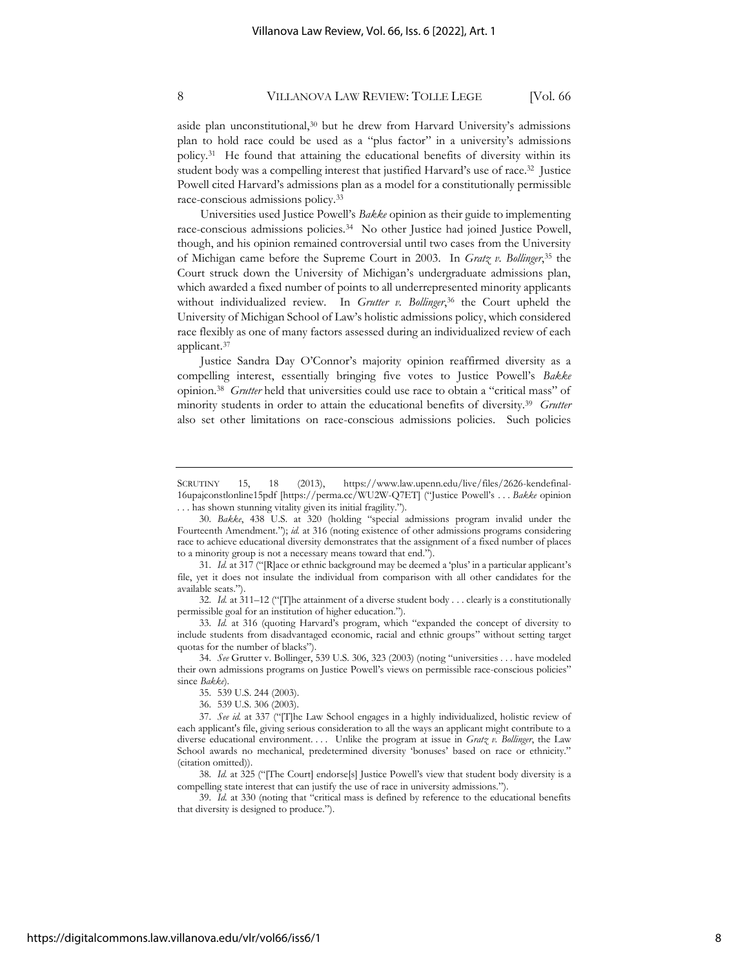aside plan unconstitutional,<sup>30</sup> but he drew from Harvard University's admissions plan to hold race could be used as a "plus factor" in a university's admissions policy.<sup>31</sup> He found that attaining the educational benefits of diversity within its student body was a compelling interest that justified Harvard's use of race.<sup>32</sup> Justice Powell cited Harvard's admissions plan as a model for a constitutionally permissible race-conscious admissions policy.<sup>33</sup>

Universities used Justice Powell's *Bakke* opinion as their guide to implementing race-conscious admissions policies.<sup>34</sup> No other Justice had joined Justice Powell, though, and his opinion remained controversial until two cases from the University of Michigan came before the Supreme Court in 2003. In *Gratz v. Bollinger*, <sup>35</sup> the Court struck down the University of Michigan's undergraduate admissions plan, which awarded a fixed number of points to all underrepresented minority applicants without individualized review. In *Grutter v. Bollinger*, <sup>36</sup> the Court upheld the University of Michigan School of Law's holistic admissions policy, which considered race flexibly as one of many factors assessed during an individualized review of each applicant.<sup>37</sup>

Justice Sandra Day O'Connor's majority opinion reaffirmed diversity as a compelling interest, essentially bringing five votes to Justice Powell's *Bakke* opinion.<sup>38</sup> *Grutter* held that universities could use race to obtain a "critical mass" of minority students in order to attain the educational benefits of diversity.<sup>39</sup> *Grutter* also set other limitations on race-conscious admissions policies. Such policies

SCRUTINY 15, 18 (2013), https://www.law.upenn.edu/live/files/2626-kendefinal-16upajconstlonline15pdf [https://perma.cc/WU2W-Q7ET] ("Justice Powell's . . . *Bakke* opinion . . . has shown stunning vitality given its initial fragility.").

<sup>30.</sup> *Bakke*, 438 U.S. at 320 (holding "special admissions program invalid under the Fourteenth Amendment."); *id.* at 316 (noting existence of other admissions programs considering race to achieve educational diversity demonstrates that the assignment of a fixed number of places to a minority group is not a necessary means toward that end.").

<sup>31.</sup> *Id.* at 317 ("[R]ace or ethnic background may be deemed a 'plus' in a particular applicant's file, yet it does not insulate the individual from comparison with all other candidates for the available seats.").

<sup>32.</sup> *Id.* at 311–12 ("[T]he attainment of a diverse student body . . . clearly is a constitutionally permissible goal for an institution of higher education.").

<sup>33.</sup> *Id.* at 316 (quoting Harvard's program, which "expanded the concept of diversity to include students from disadvantaged economic, racial and ethnic groups" without setting target quotas for the number of blacks").

<sup>34.</sup> *See* Grutter v. Bollinger, 539 U.S. 306, 323 (2003) (noting "universities . . . have modeled their own admissions programs on Justice Powell's views on permissible race-conscious policies" since *Bakke*).

<sup>35.</sup> 539 U.S. 244 (2003).

<sup>36.</sup> 539 U.S. 306 (2003).

<sup>37.</sup> *See id.* at 337 ("[T]he Law School engages in a highly individualized, holistic review of each applicant's file, giving serious consideration to all the ways an applicant might contribute to a diverse educational environment. . . . Unlike the program at issue in *Gratz v. Bollinger*, the Law School awards no mechanical, predetermined diversity 'bonuses' based on race or ethnicity." (citation omitted)).

<sup>38.</sup> *Id.* at 325 ("[The Court] endorse[s] Justice Powell's view that student body diversity is a compelling state interest that can justify the use of race in university admissions.").

<sup>39.</sup> *Id.* at 330 (noting that "critical mass is defined by reference to the educational benefits that diversity is designed to produce.").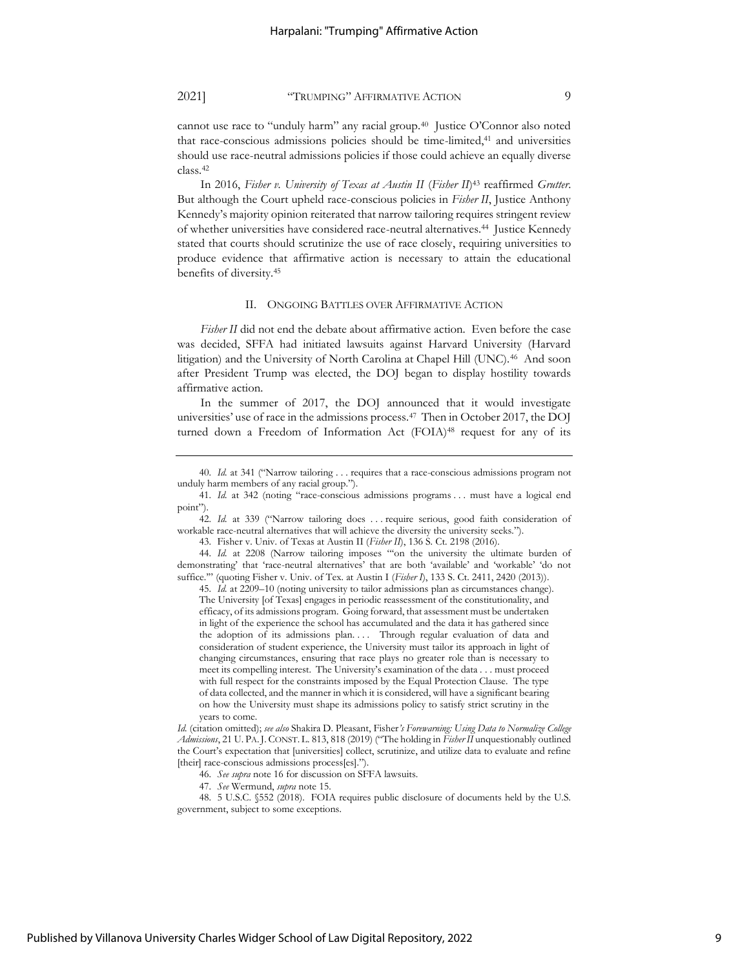cannot use race to "unduly harm" any racial group.<sup>40</sup> Justice O'Connor also noted that race-conscious admissions policies should be time-limited, <sup>41</sup> and universities should use race-neutral admissions policies if those could achieve an equally diverse class.<sup>42</sup>

In 2016, *Fisher v. University of Texas at Austin II* (*Fisher II*) <sup>43</sup> reaffirmed *Grutter*. But although the Court upheld race-conscious policies in *Fisher II*, Justice Anthony Kennedy's majority opinion reiterated that narrow tailoring requires stringent review of whether universities have considered race-neutral alternatives.<sup>44</sup> Justice Kennedy stated that courts should scrutinize the use of race closely, requiring universities to produce evidence that affirmative action is necessary to attain the educational benefits of diversity.<sup>45</sup>

#### II. ONGOING BATTLES OVER AFFIRMATIVE ACTION

*Fisher II* did not end the debate about affirmative action. Even before the case was decided, SFFA had initiated lawsuits against Harvard University (Harvard litigation) and the University of North Carolina at Chapel Hill (UNC).<sup>46</sup> And soon after President Trump was elected, the DOJ began to display hostility towards affirmative action.

In the summer of 2017, the DOJ announced that it would investigate universities' use of race in the admissions process.<sup>47</sup> Then in October 2017, the DOJ turned down a Freedom of Information Act (FOIA)<sup>48</sup> request for any of its

43. Fisher v. Univ. of Texas at Austin II (*Fisher II*), 136 S. Ct. 2198 (2016).

45. *Id.* at 2209–10 (noting university to tailor admissions plan as circumstances change).

The University [of Texas] engages in periodic reassessment of the constitutionality, and efficacy, of its admissions program. Going forward, that assessment must be undertaken in light of the experience the school has accumulated and the data it has gathered since the adoption of its admissions plan. . . . Through regular evaluation of data and consideration of student experience, the University must tailor its approach in light of changing circumstances, ensuring that race plays no greater role than is necessary to meet its compelling interest. The University's examination of the data . . . must proceed with full respect for the constraints imposed by the Equal Protection Clause. The type of data collected, and the manner in which it is considered, will have a significant bearing on how the University must shape its admissions policy to satisfy strict scrutiny in the years to come.

*Id.* (citation omitted); *see also* Shakira D. Pleasant, Fisher*'s Forewarning: Using Data to Normalize College Admissions*, 21 U. PA.J. CONST. L. 813, 818 (2019) ("The holding in *Fisher II* unquestionably outlined the Court's expectation that [universities] collect, scrutinize, and utilize data to evaluate and refine [their] race-conscious admissions process[es].")

46. *See supra* not[e 16](#page-6-0) for discussion on SFFA lawsuits.

47. *See* Wermund, *supra* note [15.](#page-5-0)

48. 5 U.S.C. §552 (2018). FOIA requires public disclosure of documents held by the U.S. government, subject to some exceptions.

<sup>40.</sup> *Id.* at 341 ("Narrow tailoring . . . requires that a race-conscious admissions program not unduly harm members of any racial group.").

<sup>41.</sup> *Id.* at 342 (noting "race-conscious admissions programs . . . must have a logical end point").

<sup>42.</sup> *Id.* at 339 ("Narrow tailoring does . . . require serious, good faith consideration of workable race-neutral alternatives that will achieve the diversity the university seeks.").

<sup>44.</sup> *Id.* at 2208 (Narrow tailoring imposes "'on the university the ultimate burden of demonstrating' that 'race-neutral alternatives' that are both 'available' and 'workable' 'do not suffice.'" (quoting Fisher v. Univ. of Tex. at Austin I (*Fisher I*), 133 S. Ct. 2411, 2420 (2013)).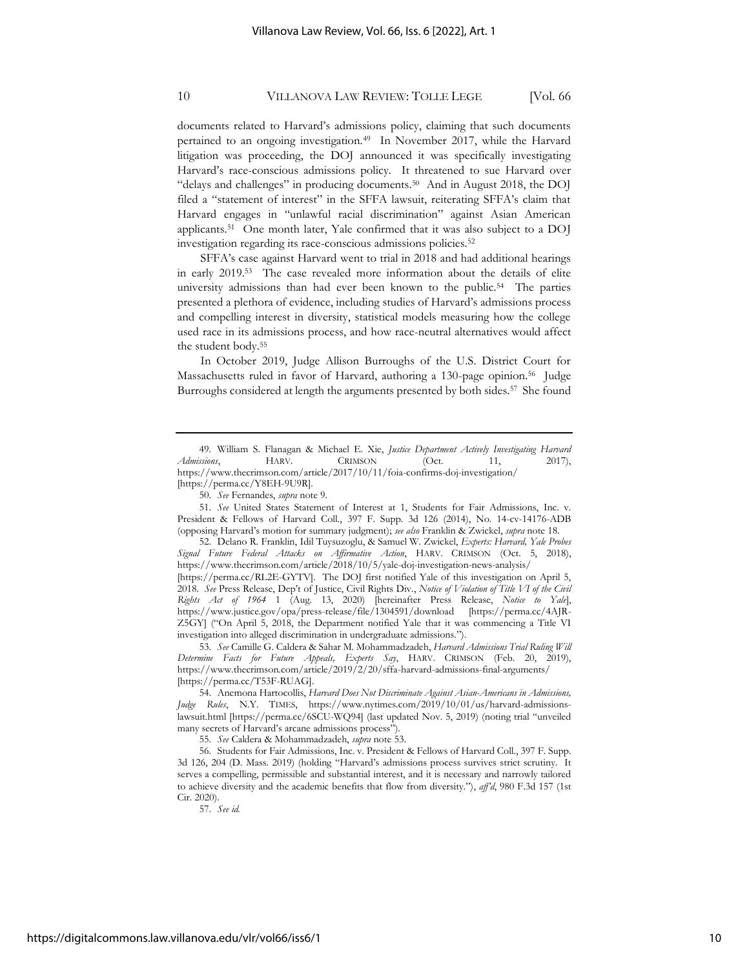documents related to Harvard's admissions policy, claiming that such documents pertained to an ongoing investigation.<sup>49</sup> In November 2017, while the Harvard litigation was proceeding, the DOJ announced it was specifically investigating Harvard's race-conscious admissions policy. It threatened to sue Harvard over "delays and challenges" in producing documents.<sup>50</sup> And in August 2018, the DOJ filed a "statement of interest" in the SFFA lawsuit, reiterating SFFA's claim that Harvard engages in "unlawful racial discrimination" against Asian American applicants.<sup>51</sup> One month later, Yale confirmed that it was also subject to a DOJ investigation regarding its race-conscious admissions policies.<sup>52</sup>

SFFA's case against Harvard went to trial in 2018 and had additional hearings in early 2019.<sup>53</sup> The case revealed more information about the details of elite university admissions than had ever been known to the public.<sup>54</sup> The parties presented a plethora of evidence, including studies of Harvard's admissions process and compelling interest in diversity, statistical models measuring how the college used race in its admissions process, and how race-neutral alternatives would affect the student body.<sup>55</sup>

In October 2019, Judge Allison Burroughs of the U.S. District Court for Massachusetts ruled in favor of Harvard, authoring a 130-page opinion.<sup>56</sup> Judge Burroughs considered at length the arguments presented by both sides.<sup>57</sup> She found

51. *See* United States Statement of Interest at 1, Students for Fair Admissions, Inc. v. President & Fellows of Harvard Coll., 397 F. Supp. 3d 126 (2014), No. 14-cv-14176-ADB (opposing Harvard's motion for summary judgment); *see also* Franklin & Zwickel, *supra* note [18.](#page-6-1)

52. Delano R. Franklin, Idil Tuysuzoglu, & Samuel W. Zwickel, *Experts: Harvard, Yale Probes Signal Future Federal Attacks on Affirmative Action*, HARV. CRIMSON (Oct. 5, 2018), <https://www.thecrimson.com/article/2018/10/5/yale-doj-investigation-news-analysis/>

[https://perma.cc/RL2E-GYTV]. The DOJ first notified Yale of this investigation on April 5, 2018. *See* Press Release, Dep't of Justice, Civil Rights Div., *Notice of Violation of Title VI of the Civil Rights Act of 1964* 1 (Aug. 13, 2020) [hereinafter Press Release, *Notice to Yale*], https://www.justice.gov/opa/press-release/file/1304591/download [https://perma.cc/4AJR-Z5GY] ("On April 5, 2018, the Department notified Yale that it was commencing a Title VI investigation into alleged discrimination in undergraduate admissions.").

53. *See* Camille G. Caldera & Sahar M. Mohammadzadeh, *Harvard Admissions Trial Ruling Will Determine Facts for Future Appeals, Experts Say*, HARV. CRIMSON (Feb. 20, 2019), https://www.thecrimson.com/article/2019/2/20/sffa-harvard-admissions-final-arguments/ [https://perma.cc/T53F-RUAG].

54. Anemona Hartocollis, *Harvard Does Not Discriminate Against Asian-Americans in Admissions, Judge Rules*, N.Y. TIMES, https://www.nytimes.com/2019/10/01/us/harvard-admissionslawsuit.html [https://perma.cc/6SCU-WQ94] (last updated Nov. 5, 2019) (noting trial "unveiled many secrets of Harvard's arcane admissions process").

55. *See* Caldera & Mohammadzadeh, *supra* note 53.

56. Students for Fair Admissions, Inc. v. President & Fellows of Harvard Coll., 397 F. Supp. 3d 126, 204 (D. Mass. 2019) (holding "Harvard's admissions process survives strict scrutiny. It serves a compelling, permissible and substantial interest, and it is necessary and narrowly tailored to achieve diversity and the academic benefits that flow from diversity."), *aff'd*, 980 F.3d 157 (1st Cir. 2020).

<sup>49.</sup> William S. Flanagan & Michael E. Xie, *Justice Department Actively Investigating Harvard Admissions*, HARV. CRIMSON (Oct. 11, 2017), https://www.thecrimson.com/article/2017/10/11/foia-confirms-doj-investigation/ [https://perma.cc/Y8EH-9U9R].

<sup>50.</sup> *See* Fernandes, *supra* note [9.](#page-4-1)

<sup>57.</sup> *See id.*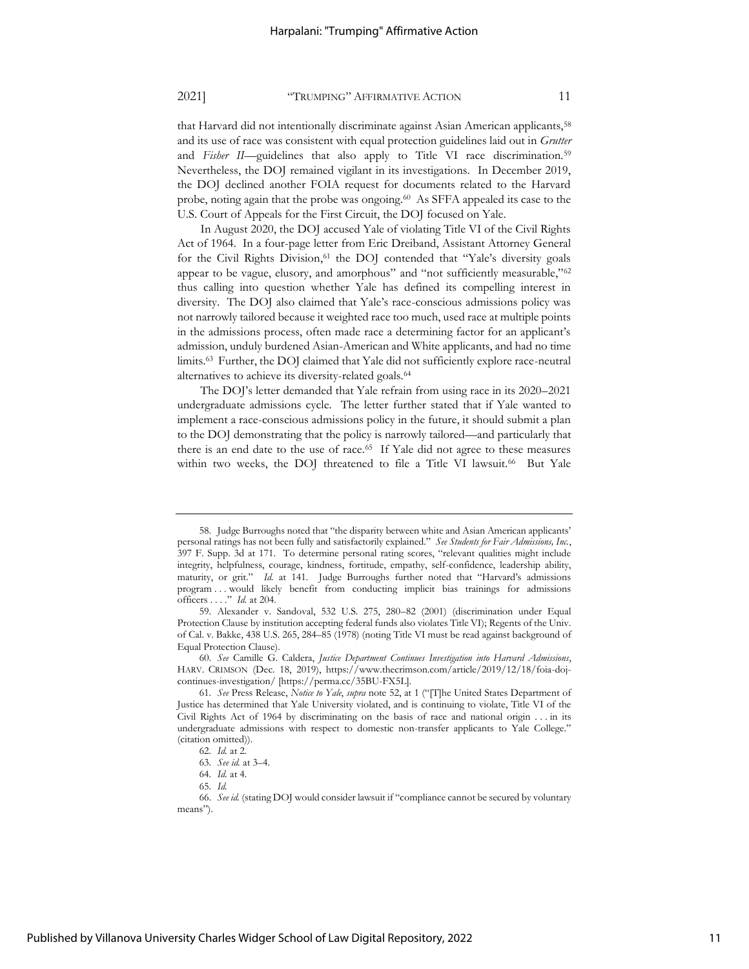that Harvard did not intentionally discriminate against Asian American applicants,<sup>58</sup> and its use of race was consistent with equal protection guidelines laid out in *Grutter* and *Fisher II*—guidelines that also apply to Title VI race discrimination.<sup>59</sup> Nevertheless, the DOJ remained vigilant in its investigations. In December 2019, the DOJ declined another FOIA request for documents related to the Harvard probe, noting again that the probe was ongoing.<sup>60</sup> As SFFA appealed its case to the U.S. Court of Appeals for the First Circuit, the DOJ focused on Yale.

In August 2020, the DOJ accused Yale of violating Title VI of the Civil Rights Act of 1964. In a four-page letter from Eric Dreiband, Assistant Attorney General for the Civil Rights Division, <sup>61</sup> the DOJ contended that "Yale's diversity goals appear to be vague, elusory, and amorphous" and "not sufficiently measurable,"<sup>62</sup> thus calling into question whether Yale has defined its compelling interest in diversity. The DOJ also claimed that Yale's race-conscious admissions policy was not narrowly tailored because it weighted race too much, used race at multiple points in the admissions process, often made race a determining factor for an applicant's admission, unduly burdened Asian-American and White applicants, and had no time limits.<sup>63</sup> Further, the DOJ claimed that Yale did not sufficiently explore race-neutral alternatives to achieve its diversity-related goals.<sup>64</sup>

The DOJ's letter demanded that Yale refrain from using race in its 2020–2021 undergraduate admissions cycle. The letter further stated that if Yale wanted to implement a race-conscious admissions policy in the future, it should submit a plan to the DOJ demonstrating that the policy is narrowly tailored—and particularly that there is an end date to the use of race.<sup>65</sup> If Yale did not agree to these measures within two weeks, the DOJ threatened to file a Title VI lawsuit.<sup>66</sup> But Yale

<sup>58.</sup> Judge Burroughs noted that "the disparity between white and Asian American applicants' personal ratings has not been fully and satisfactorily explained." *See Students for Fair Admissions, Inc.*, 397 F. Supp. 3d at 171. To determine personal rating scores, "relevant qualities might include integrity, helpfulness, courage, kindness, fortitude, empathy, self-confidence, leadership ability, maturity, or grit." *Id.* at 141. Judge Burroughs further noted that "Harvard's admissions program . . . would likely benefit from conducting implicit bias trainings for admissions officers . . . ." *Id.* at 204.

<sup>59.</sup> Alexander v. Sandoval, 532 U.S. 275, 280–82 (2001) (discrimination under Equal Protection Clause by institution accepting federal funds also violates Title VI); Regents of the Univ. of Cal. v. Bakke, 438 U.S. 265, 284–85 (1978) (noting Title VI must be read against background of Equal Protection Clause).

<sup>60.</sup> *See* Camille G. Caldera, *Justice Department Continues Investigation into Harvard Admissions*, HARV. CRIMSON (Dec. 18, 2019), https://www.thecrimson.com/article/2019/12/18/foia-dojcontinues-investigation/ [https://perma.cc/35BU-FX5L].

<sup>61.</sup> *See* Press Release, *Notice to Yale*, *supra* note 52, at 1 ("[T]he United States Department of Justice has determined that Yale University violated, and is continuing to violate, Title VI of the Civil Rights Act of 1964 by discriminating on the basis of race and national origin . . . in its undergraduate admissions with respect to domestic non-transfer applicants to Yale College." (citation omitted)).

<sup>62.</sup> *Id.* at 2.

<sup>63.</sup> *See id.* at 3–4.

<sup>64.</sup> *Id.* at 4.

<sup>65.</sup> *Id.*

<sup>66.</sup> *See id.* (stating DOJ would consider lawsuit if "compliance cannot be secured by voluntary means").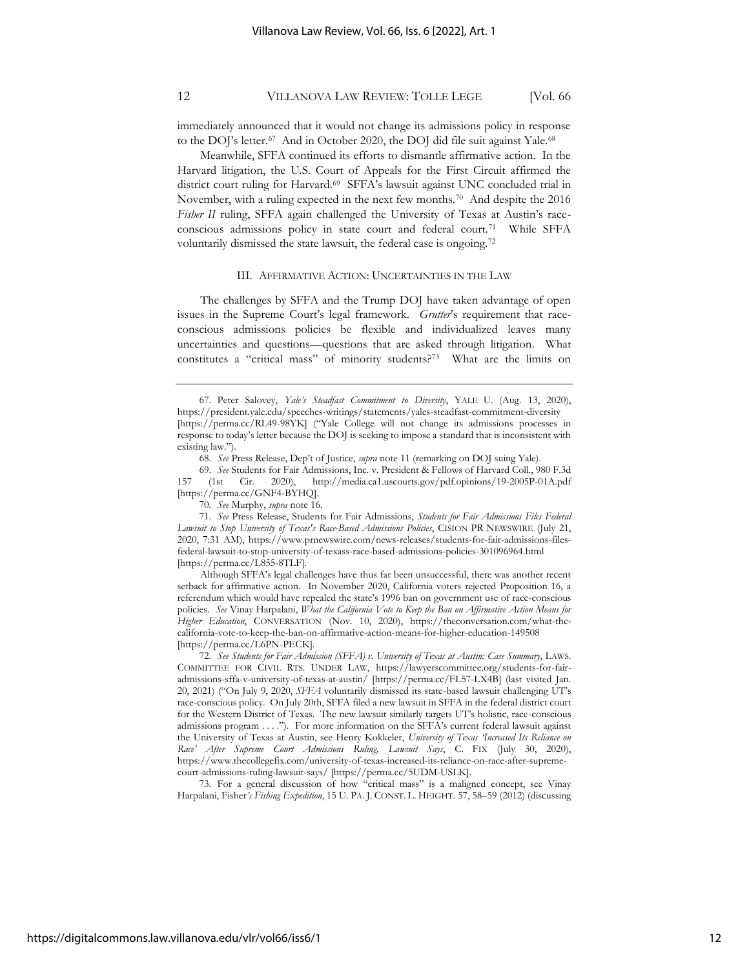immediately announced that it would not change its admissions policy in response to the DOJ's letter.<sup>67</sup> And in October 2020, the DOJ did file suit against Yale.<sup>68</sup>

Meanwhile, SFFA continued its efforts to dismantle affirmative action. In the Harvard litigation, the U.S. Court of Appeals for the First Circuit affirmed the district court ruling for Harvard.<sup>69</sup> SFFA's lawsuit against UNC concluded trial in November, with a ruling expected in the next few months.<sup>70</sup> And despite the 2016 Fisher II ruling, SFFA again challenged the University of Texas at Austin's raceconscious admissions policy in state court and federal court.<sup>71</sup> While SFFA voluntarily dismissed the state lawsuit, the federal case is ongoing.<sup>72</sup>

#### III. AFFIRMATIVE ACTION: UNCERTAINTIES IN THE LAW

The challenges by SFFA and the Trump DOJ have taken advantage of open issues in the Supreme Court's legal framework. *Grutter*'s requirement that raceconscious admissions policies be flexible and individualized leaves many uncertainties and questions—questions that are asked through litigation. What constitutes a "critical mass" of minority students?<sup>73</sup> What are the limits on

68. *See* Press Release, Dep't of Justice, *supra* not[e 11](#page-4-2) (remarking on DOJ suing Yale).

69. *See* Students for Fair Admissions, Inc. v. President & Fellows of Harvard Coll., 980 F.3d 157 (1st Cir. 2020), http://media.ca1.uscourts.gov/pdf.opinions/19-2005P-01A.pdf [https://perma.cc/GNF4-BYHQ].

70. *See* Murphy, *supra* note [16.](#page-6-0)

71. *See* Press Release, Students for Fair Admissions, *Students for Fair Admissions Files Federal Lawsuit to Stop University of Texas's Race-Based Admissions Policies*, CISION PR NEWSWIRE (July 21, 2020, 7:31 AM), https://www.prnewswire.com/news-releases/students-for-fair-admissions-filesfederal-lawsuit-to-stop-university-of-texass-race-based-admissions-policies-301096964.html [https://perma.cc/L855-8TLF].

Although SFFA's legal challenges have thus far been unsuccessful, there was another recent setback for affirmative action. In November 2020, California voters rejected Proposition 16, a referendum which would have repealed the state's 1996 ban on government use of race-conscious policies. *See* Vinay Harpalani, *What the California Vote to Keep the Ban on Affirmative Action Means for Higher Education*, CONVERSATION (Nov. 10, 2020), https://theconversation.com/what-thecalifornia-vote-to-keep-the-ban-on-affirmative-action-means-for-higher-education-149508 [https://perma.cc/L6PN-PECK].

72. *See Students for Fair Admission (SFFA) v. University of Texas at Austin: Case Summary*, LAWS. COMMITTEE FOR CIVIL RTS. UNDER LAW, https://lawyerscommittee.org/students-for-fairadmissions-sffa-v-university-of-texas-at-austin/ [https://perma.cc/FL57-LX4B] (last visited Jan. 20, 2021) ("On July 9, 2020, *SFFA* voluntarily dismissed its state-based lawsuit challenging UT's race-conscious policy. On July 20th, SFFA filed a new lawsuit in SFFA in the federal district court for the Western District of Texas. The new lawsuit similarly targets UT's holistic, race-conscious admissions program . . . ."). For more information on the SFFA's current federal lawsuit against the University of Texas at Austin, see Henry Kokkeler, *University of Texas 'Increased Its Reliance on Race' After Supreme Court Admissions Ruling, Lawsuit Says*, C. FIX (July 30, 2020), https://www.thecollegefix.com/university-of-texas-increased-its-reliance-on-race-after-supremecourt-admissions-ruling-lawsuit-says/ [https://perma.cc/5UDM-USLK].

73. For a general discussion of how "critical mass" is a maligned concept, see Vinay Harpalani, Fisher*'s Fishing Expedition*, 15 U. PA. J. CONST. L. HEIGHT. 57, 58–59 (2012) (discussing

<sup>67.</sup> Peter Salovey, *Yale's Steadfast Commitment to Diversity*, YALE U. (Aug. 13, 2020), https://president.yale.edu/speeches-writings/statements/yales-steadfast-commitment-diversity [https://perma.cc/RL49-98YK] ("Yale College will not change its admissions processes in response to today's letter because the DOJ is seeking to impose a standard that is inconsistent with existing law.").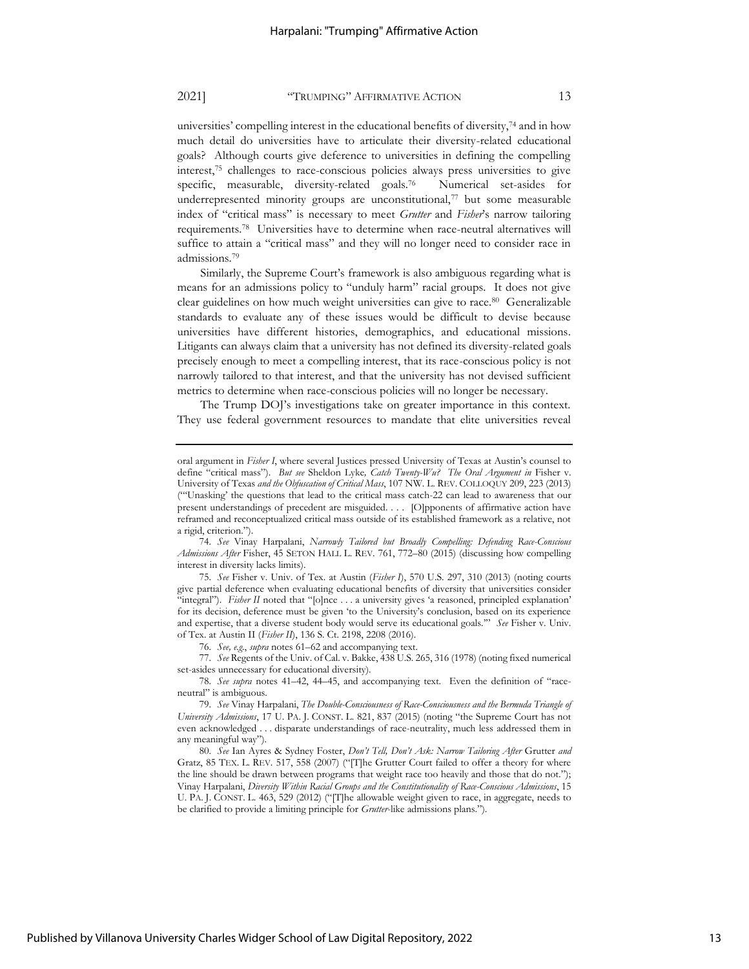universities' compelling interest in the educational benefits of diversity,<sup>74</sup> and in how much detail do universities have to articulate their diversity-related educational goals? Although courts give deference to universities in defining the compelling interest,<sup>75</sup> challenges to race-conscious policies always press universities to give specific, measurable, diversity-related goals.<sup>76</sup> Numerical set-asides for underrepresented minority groups are unconstitutional, $77$  but some measurable index of "critical mass" is necessary to meet *Grutter* and *Fisher*'s narrow tailoring requirements.<sup>78</sup> Universities have to determine when race-neutral alternatives will suffice to attain a "critical mass" and they will no longer need to consider race in admissions.<sup>79</sup>

Similarly, the Supreme Court's framework is also ambiguous regarding what is means for an admissions policy to "unduly harm" racial groups. It does not give clear guidelines on how much weight universities can give to race.<sup>80</sup> Generalizable standards to evaluate any of these issues would be difficult to devise because universities have different histories, demographics, and educational missions. Litigants can always claim that a university has not defined its diversity-related goals precisely enough to meet a compelling interest, that its race-conscious policy is not narrowly tailored to that interest, and that the university has not devised sufficient metrics to determine when race-conscious policies will no longer be necessary.

The Trump DOJ's investigations take on greater importance in this context. They use federal government resources to mandate that elite universities reveal

74. *See* Vinay Harpalani, *Narrowly Tailored but Broadly Compelling: Defending Race-Conscious Admissions After* Fisher, 45 SETON HALL L. REV. 761, 772–80 (2015) (discussing how compelling interest in diversity lacks limits).

75. *See* Fisher v. Univ. of Tex. at Austin (*Fisher I*), 570 U.S. 297, 310 (2013) (noting courts give partial deference when evaluating educational benefits of diversity that universities consider "integral"). *Fisher II* noted that "[o]nce . . . a university gives 'a reasoned, principled explanation' for its decision, deference must be given 'to the University's conclusion, based on its experience and expertise, that a diverse student body would serve its educational goals.'" *See* Fisher v. Univ. of Tex. at Austin II (*Fisher II*), 136 S. Ct. 2198, 2208 (2016).

76. *See, e.g.*, *supra* notes 61–62 and accompanying text.

77. *See* Regents of the Univ. of Cal. v. Bakke, 438 U.S. 265, 316 (1978) (noting fixed numerical set-asides unnecessary for educational diversity).

78. *See supra* notes 41–42, 44–45, and accompanying text. Even the definition of "raceneutral" is ambiguous.

80. *See* Ian Ayres & Sydney Foster, *Don't Tell, Don't Ask: Narrow Tailoring After* Grutter *and* Gratz, 85 TEX. L. REV. 517, 558 (2007) ("[T]he Grutter Court failed to offer a theory for where the line should be drawn between programs that weight race too heavily and those that do not."); Vinay Harpalani, *Diversity Within Racial Groups and the Constitutionality of Race-Conscious Admissions*, 15 U. PA. J. CONST. L. 463, 529 (2012) ("[T]he allowable weight given to race, in aggregate, needs to be clarified to provide a limiting principle for *Grutter*-like admissions plans.").

oral argument in *Fisher I*, where several Justices pressed University of Texas at Austin's counsel to define "critical mass"). *But see* Sheldon Lyke*, Catch Twenty-Wu? The Oral Argument in* Fisher v. University of Texas *and the Obfuscation of Critical Mass*, 107 NW. L. REV. COLLOQUY 209, 223 (2013) ("'Unasking' the questions that lead to the critical mass catch-22 can lead to awareness that our present understandings of precedent are misguided. . . . [O]pponents of affirmative action have reframed and reconceptualized critical mass outside of its established framework as a relative, not a rigid, criterion.").

<sup>79.</sup> *See* Vinay Harpalani, *The Double-Consciousness of Race-Consciousness and the Bermuda Triangle of University Admissions*, 17 U. PA. J. CONST. L. 821, 837 (2015) (noting "the Supreme Court has not even acknowledged . . . disparate understandings of race-neutrality, much less addressed them in any meaningful way").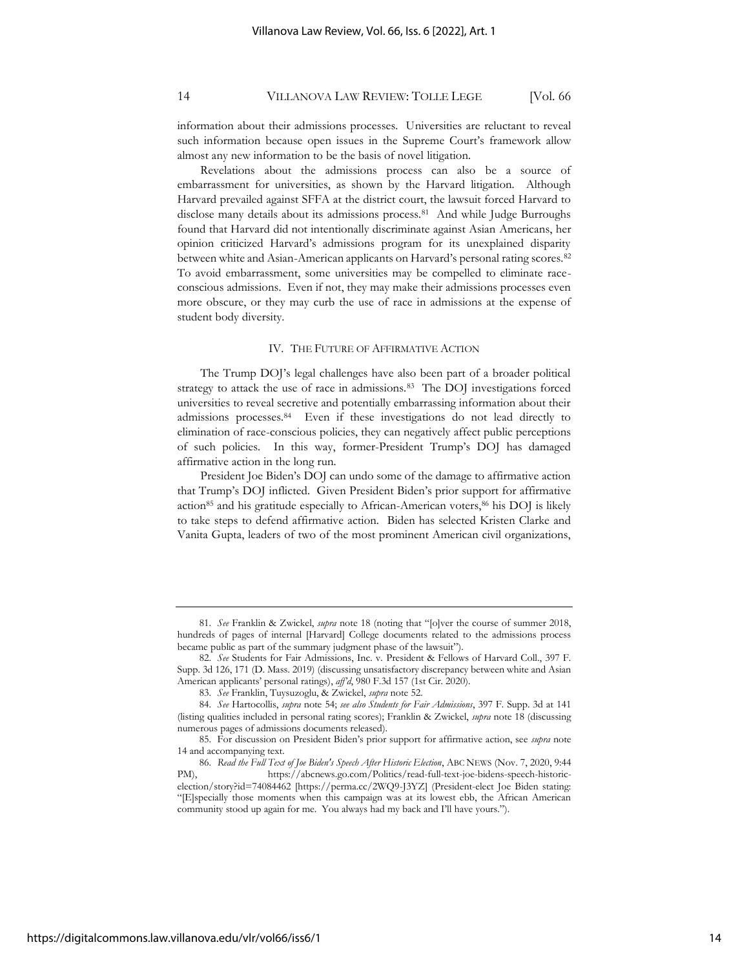information about their admissions processes. Universities are reluctant to reveal such information because open issues in the Supreme Court's framework allow almost any new information to be the basis of novel litigation.

Revelations about the admissions process can also be a source of embarrassment for universities, as shown by the Harvard litigation. Although Harvard prevailed against SFFA at the district court, the lawsuit forced Harvard to disclose many details about its admissions process.<sup>81</sup> And while Judge Burroughs found that Harvard did not intentionally discriminate against Asian Americans, her opinion criticized Harvard's admissions program for its unexplained disparity between white and Asian-American applicants on Harvard's personal rating scores.<sup>82</sup> To avoid embarrassment, some universities may be compelled to eliminate raceconscious admissions. Even if not, they may make their admissions processes even more obscure, or they may curb the use of race in admissions at the expense of student body diversity.

#### IV. THE FUTURE OF AFFIRMATIVE ACTION

The Trump DOJ's legal challenges have also been part of a broader political strategy to attack the use of race in admissions.<sup>83</sup> The DOJ investigations forced universities to reveal secretive and potentially embarrassing information about their admissions processes.<sup>84</sup> Even if these investigations do not lead directly to elimination of race-conscious policies, they can negatively affect public perceptions of such policies. In this way, former-President Trump's DOJ has damaged affirmative action in the long run.

President Joe Biden's DOJ can undo some of the damage to affirmative action that Trump's DOJ inflicted. Given President Biden's prior support for affirmative action<sup>85</sup> and his gratitude especially to African-American voters, <sup>86</sup> his DOJ is likely to take steps to defend affirmative action. Biden has selected Kristen Clarke and Vanita Gupta, leaders of two of the most prominent American civil organizations,

<sup>81.</sup> *See* Franklin & Zwickel, *supra* note [18](#page-6-1) (noting that "[o]ver the course of summer 2018, hundreds of pages of internal [Harvard] College documents related to the admissions process became public as part of the summary judgment phase of the lawsuit").

<sup>82.</sup> *See* Students for Fair Admissions, Inc. v. President & Fellows of Harvard Coll., 397 F. Supp. 3d 126, 171 (D. Mass. 2019) (discussing unsatisfactory discrepancy between white and Asian American applicants' personal ratings), *aff'd*, 980 F.3d 157 (1st Cir. 2020).

<sup>83.</sup> *See* Franklin, Tuysuzoglu, & Zwickel, *supra* note 52.

<sup>84.</sup> *See* Hartocollis, *supra* note 54; *see also Students for Fair Admissions*, 397 F. Supp. 3d at 141 (listing qualities included in personal rating scores); Franklin & Zwickel, *supra* note 18 (discussing numerous pages of admissions documents released).

<sup>85.</sup> For discussion on President Biden's prior support for affirmative action, see *supra* note 14 and accompanying text.

<sup>86.</sup> *Read the Full Text of Joe Biden's Speech After Historic Election*, ABC NEWS (Nov. 7, 2020, 9:44 PM), https://abcnews.go.com/Politics/read-full-text-joe-bidens-speech-historicelection/story?id=74084462 [https://perma.cc/2WQ9-J3YZ] (President-elect Joe Biden stating: "[E]specially those moments when this campaign was at its lowest ebb, the African American community stood up again for me. You always had my back and I'll have yours.").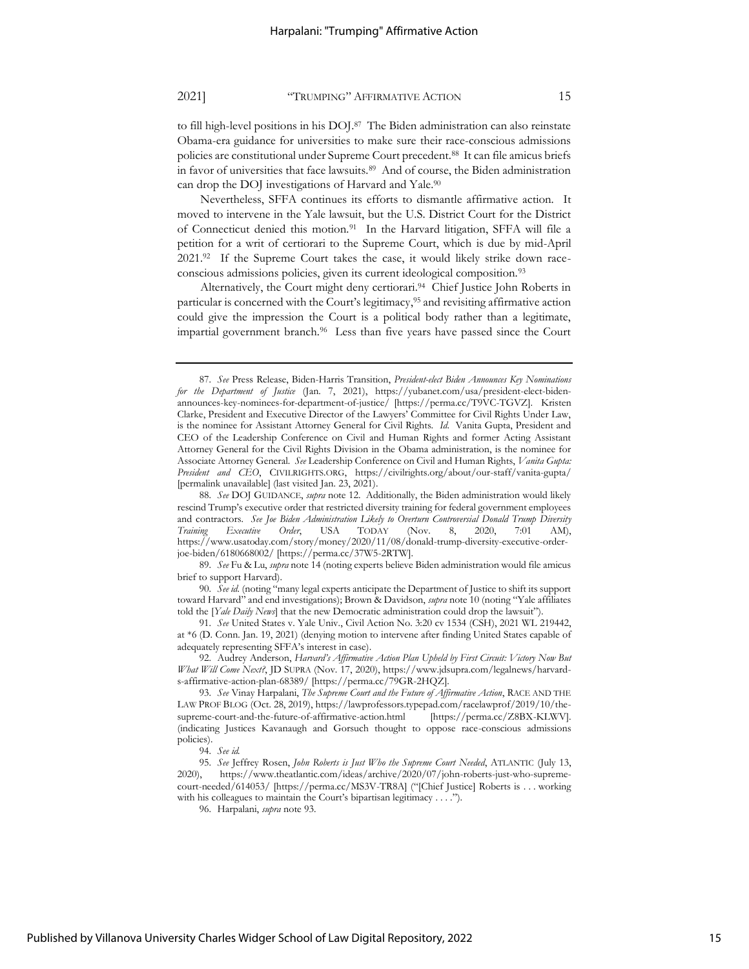to fill high-level positions in his DOJ.<sup>87</sup> The Biden administration can also reinstate Obama-era guidance for universities to make sure their race-conscious admissions policies are constitutional under Supreme Court precedent.<sup>88</sup> It can file amicus briefs in favor of universities that face lawsuits.<sup>89</sup> And of course, the Biden administration can drop the DOJ investigations of Harvard and Yale.<sup>90</sup>

Nevertheless, SFFA continues its efforts to dismantle affirmative action. It moved to intervene in the Yale lawsuit, but the U.S. District Court for the District of Connecticut denied this motion.<sup>91</sup> In the Harvard litigation, SFFA will file a petition for a writ of certiorari to the Supreme Court, which is due by mid-April 2021.<sup>92</sup> If the Supreme Court takes the case, it would likely strike down raceconscious admissions policies, given its current ideological composition.<sup>93</sup>

Alternatively, the Court might deny certiorari.<sup>94</sup> Chief Justice John Roberts in particular is concerned with the Court's legitimacy, <sup>95</sup> and revisiting affirmative action could give the impression the Court is a political body rather than a legitimate, impartial government branch.<sup>96</sup> Less than five years have passed since the Court

89. *See* Fu & Lu, *supra* not[e 14](#page-5-1) (noting experts believe Biden administration would file amicus brief to support Harvard).

90. *See id.* (noting "many legal experts anticipate the Department of Justice to shift its support toward Harvard" and end investigations); Brown & Davidson, *supra* note 10 (noting "Yale affiliates told the [*Yale Daily News*] that the new Democratic administration could drop the lawsuit").

91. *See* United States v. Yale Univ., Civil Action No. 3:20 cv 1534 (CSH), 2021 WL 219442, at \*6 (D. Conn. Jan. 19, 2021) (denying motion to intervene after finding United States capable of adequately representing SFFA's interest in case).

92. Audrey Anderson, *Harvard's Affirmative Action Plan Upheld by First Circuit: Victory Now But What Will Come Next?*, JD SUPRA (Nov. 17, 2020), https://www.jdsupra.com/legalnews/harvards-affirmative-action-plan-68389/ [https://perma.cc/79GR-2HQZ].

<sup>87.</sup> *See* Press Release, Biden-Harris Transition, *President-elect Biden Announces Key Nominations for the Department of Justice* (Jan. 7, 2021), https://yubanet.com/usa/president-elect-bidenannounces-key-nominees-for-department-of-justice/ [https://perma.cc/T9VC-TGVZ]. Kristen Clarke, President and Executive Director of the Lawyers' Committee for Civil Rights Under Law, is the nominee for Assistant Attorney General for Civil Rights. *Id*. Vanita Gupta, President and CEO of the Leadership Conference on Civil and Human Rights and former Acting Assistant Attorney General for the Civil Rights Division in the Obama administration, is the nominee for Associate Attorney General. *See* Leadership Conference on Civil and Human Rights, *Vanita Gupta: President and CEO*, CIVILRIGHTS.ORG, https://civilrights.org/about/our-staff/vanita-gupta/ [permalink unavailable] (last visited Jan. 23, 2021).

<sup>88.</sup> *See* DOJ GUIDANCE, *supra* note 12. Additionally, the Biden administration would likely rescind Trump's executive order that restricted diversity training for federal government employees and contractors. *See Joe Biden Administration Likely to Overturn Controversial Donald Trump Diversity Training Executive Order*, USA TODAY (Nov. 8, 2020, 7:01 AM), https://www.usatoday.com/story/money/2020/11/08/donald-trump-diversity-executive-orderjoe-biden/6180668002/ [https://perma.cc/37W5-2RTW].

<sup>93.</sup> *See* Vinay Harpalani, *The Supreme Court and the Future of Affirmative Action*, RACE AND THE LAW PROF BLOG (Oct. 28, 2019), https://lawprofessors.typepad.com/racelawprof/2019/10/thesupreme-court-and-the-future-of-affirmative-action.html [https://perma.cc/Z8BX-KLWV]. (indicating Justices Kavanaugh and Gorsuch thought to oppose race-conscious admissions policies).

<sup>94.</sup> *See id.*

<sup>95.</sup> *See* Jeffrey Rosen, *John Roberts is Just Who the Supreme Court Needed*, ATLANTIC (July 13, 2020), https://www.theatlantic.com/ideas/archive/2020/07/john-roberts-just-who-supremecourt-needed/614053/ [https://perma.cc/MS3V-TR8A] ("[Chief Justice] Roberts is . . . working with his colleagues to maintain the Court's bipartisan legitimacy . . . .").

<sup>96.</sup> Harpalani, *supra* note 93.